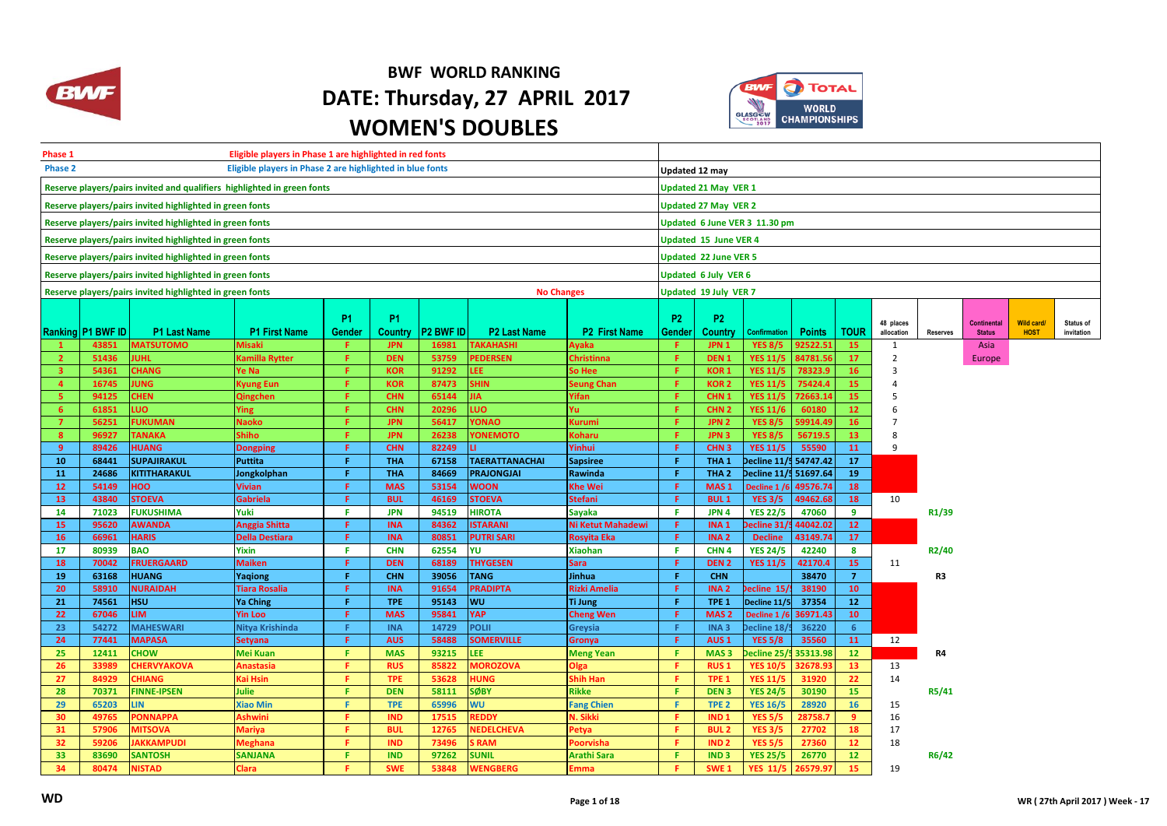

## **BWF WORLD RANKING DATE: Thursday, 27 APRIL 2017 WOMEN'S DOUBLES**



| Eligible players in Phase 1 are highlighted in red fonts<br>Phase 1           |                          |                                                                         |                             |                               |                          |                  |                                  |                               |                      |                                      |                                    |                    |                       |                     |                    |               |                   |            |  |  |  |  |
|-------------------------------------------------------------------------------|--------------------------|-------------------------------------------------------------------------|-----------------------------|-------------------------------|--------------------------|------------------|----------------------------------|-------------------------------|----------------------|--------------------------------------|------------------------------------|--------------------|-----------------------|---------------------|--------------------|---------------|-------------------|------------|--|--|--|--|
| Phase 2<br>Eligible players in Phase 2 are highlighted in blue fonts          |                          |                                                                         |                             |                               |                          |                  |                                  |                               |                      |                                      | Updated 12 may                     |                    |                       |                     |                    |               |                   |            |  |  |  |  |
|                                                                               |                          | Reserve players/pairs invited and qualifiers highlighted in green fonts |                             |                               |                          |                  |                                  |                               | Updated 21 May VER 1 |                                      |                                    |                    |                       |                     |                    |               |                   |            |  |  |  |  |
|                                                                               |                          | Reserve players/pairs invited highlighted in green fonts                |                             | <b>Updated 27 May VER 2</b>   |                          |                  |                                  |                               |                      |                                      |                                    |                    |                       |                     |                    |               |                   |            |  |  |  |  |
|                                                                               |                          | Reserve players/pairs invited highlighted in green fonts                |                             | Updated 6 June VER 3 11.30 pm |                          |                  |                                  |                               |                      |                                      |                                    |                    |                       |                     |                    |               |                   |            |  |  |  |  |
|                                                                               |                          |                                                                         |                             |                               |                          |                  |                                  |                               |                      |                                      |                                    |                    |                       |                     |                    |               |                   |            |  |  |  |  |
|                                                                               |                          | Reserve players/pairs invited highlighted in green fonts                |                             | <b>Updated 15 June VER 4</b>  |                          |                  |                                  |                               |                      |                                      |                                    |                    |                       |                     |                    |               |                   |            |  |  |  |  |
|                                                                               |                          | Reserve players/pairs invited highlighted in green fonts                |                             | <b>Updated 22 June VER 5</b>  |                          |                  |                                  |                               |                      |                                      |                                    |                    |                       |                     |                    |               |                   |            |  |  |  |  |
|                                                                               |                          | Reserve players/pairs invited highlighted in green fonts                | <b>Updated 6 July VER 6</b> |                               |                          |                  |                                  |                               |                      |                                      |                                    |                    |                       |                     |                    |               |                   |            |  |  |  |  |
| Reserve players/pairs invited highlighted in green fonts<br><b>No Changes</b> |                          |                                                                         |                             |                               |                          |                  |                                  |                               |                      | Updated 19 July VER 7                |                                    |                    |                       |                     |                    |               |                   |            |  |  |  |  |
|                                                                               |                          |                                                                         |                             |                               |                          |                  |                                  |                               |                      |                                      |                                    |                    |                       |                     |                    |               |                   |            |  |  |  |  |
|                                                                               |                          |                                                                         |                             | <b>P1</b>                     | P <sub>1</sub>           |                  |                                  |                               | <b>P2</b>            | P <sub>2</sub>                       |                                    |                    |                       | 48 places           |                    | Continental   | <b>Wild card/</b> | Status of  |  |  |  |  |
|                                                                               | <b>Ranking P1 BWF ID</b> | <b>P1 Last Name</b>                                                     | <b>P1 First Name</b>        | Gender                        | Country                  | <b>P2 BWF ID</b> | <b>P2 Last Name</b>              | <b>P2 First Name</b>          | Gender               | <b>Country</b>                       | <b>Confirmation</b>                | <b>Points</b>      | <b>TOUR</b>           | allocation          | <b>Reserves</b>    | <b>Status</b> | <b>HOST</b>       | invitation |  |  |  |  |
|                                                                               | 43851                    | <b>MATSUTOMO</b>                                                        | <b>Misaki</b>               | F.                            | <b>JPN</b>               | 16981            | <b>TAKAHASHI</b>                 | <b>Ayaka</b>                  | -F.                  | JPN <sub>1</sub>                     | <b>YES 8/5</b>                     | 92522.51           | 15                    | 1                   |                    | Asia          |                   |            |  |  |  |  |
| $\overline{\mathbf{z}}$<br>$\overline{\mathbf{3}}$                            | 51436<br>54361           | JUHL<br><b>CHANG</b>                                                    | Kamilla Rytter<br>Ye Na     | F.<br>F.                      | <b>DEN</b><br><b>KOR</b> | 53759<br>91292   | <b>PEDERSEN</b><br><b>LEE</b>    | <b>Christinna</b><br>So Hee   | Æ.<br>Æ              | DEN <sub>1</sub><br><b>KOR1</b>      | <b>YES 11/5</b><br><b>YES 11/5</b> | 84781.5<br>78323.9 | 17<br>16 <sup>2</sup> | $\overline{2}$<br>3 |                    | Europe        |                   |            |  |  |  |  |
| $\overline{a}$                                                                | 16745                    | <b>JUNG</b>                                                             | Kyung Eun                   | F.                            | <b>KOR</b>               | 87473            | <b>SHIN</b>                      | <b>Seung Chan</b>             | -F.                  | <b>KOR2</b>                          | <b>YES 11/5</b>                    | 75424.4            | 15                    |                     |                    |               |                   |            |  |  |  |  |
| 5                                                                             | 94125                    | <b>CHEN</b>                                                             | Qingchen                    | F.                            | <b>CHN</b>               | 65144            | <b>JIA</b>                       | Yifan                         | Æ                    | CHN <sub>1</sub>                     | <b>YES 11/5</b>                    | 72663.1            | 15                    |                     |                    |               |                   |            |  |  |  |  |
| 6                                                                             | 61851                    | LUO                                                                     | Ying                        | F.                            | <b>CHN</b>               | 20296            | LUO                              | Yul                           | Æ                    | CHN <sub>2</sub>                     | <b>YES 11/6</b>                    | 60180              | 12 <sub>2</sub>       |                     |                    |               |                   |            |  |  |  |  |
| $\overline{7}$                                                                | 56251                    | <b>FUKUMAN</b>                                                          | <b>Naoko</b>                | F.                            | <b>JPN</b>               | 56417            | YONAO                            | Kurumi                        | Æ                    | JPN <sub>2</sub>                     | <b>YES 8/5</b>                     | 59914.4            | 16                    |                     |                    |               |                   |            |  |  |  |  |
| 8 <sup>2</sup>                                                                | 96927                    | <b>TANAKA</b>                                                           | Shiho                       | F.                            | <b>JPN</b>               | 26238            | <b>YONEMOTO</b>                  | <b>Coharu</b>                 | Æ                    | JPN <sub>3</sub>                     | <b>YES 8/5</b>                     | 56719.5            | 13 <sup>7</sup>       |                     |                    |               |                   |            |  |  |  |  |
| 9                                                                             | 89426                    | <b>HUANG</b>                                                            | <b>Dongping</b>             | F.                            | <b>CHN</b>               | 82249            | п.                               | Yinhui                        | Æ                    | CHN <sub>3</sub>                     | <b>YES 11/5</b>                    | 55590              | 11                    | 9                   |                    |               |                   |            |  |  |  |  |
| 10                                                                            | 68441                    | <b>SUPAJIRAKUL</b>                                                      | <b>Puttita</b>              | F.                            | <b>THA</b>               | 67158            | <b>TAERATTANACHAI</b>            | <b>Sapsiree</b>               | Æ                    | THA <sub>1</sub>                     | Decline 11/                        | 54747.42           | 17                    |                     |                    |               |                   |            |  |  |  |  |
| 11                                                                            | 24686                    | <b>KITITHARAKUL</b>                                                     | Jongkolphan                 | F                             | <b>THA</b>               | 84669            | <b>PRAJONGJAI</b>                | Rawinda                       | Æ                    | THA <sub>2</sub>                     | Decline 11/5 51697.64              |                    | 19                    |                     |                    |               |                   |            |  |  |  |  |
| 12                                                                            | 54149                    | <b>HOO</b>                                                              | <b>Vivian</b>               | F                             | <b>MAS</b>               | 53154            | <b>WOON</b>                      | <b>Khe Wei</b>                | F                    | MAS <sub>1</sub>                     | Decline 1/6                        | 49576.74           | 18                    |                     |                    |               |                   |            |  |  |  |  |
| 13                                                                            | 43840                    | <b>STOEVA</b>                                                           | <b>Gabriela</b>             | F                             | <b>BUL</b>               | 46169            | <b>STOEVA</b>                    | <b>Stefani</b>                | -F                   | <b>BUL1</b>                          | <b>YES 3/5</b>                     | 49462.68           | 18                    | 10                  |                    |               |                   |            |  |  |  |  |
| 14                                                                            | 71023                    | <b>FUKUSHIMA</b>                                                        | Yuki                        | F.                            | <b>JPN</b>               | 94519            | <b>HIROTA</b>                    | Sayaka                        | Æ                    | JPN 4                                | <b>YES 22/5</b>                    | 47060              | 9                     |                     | R1/39              |               |                   |            |  |  |  |  |
| 15                                                                            | 95620                    | <b>AWANDA</b>                                                           | Anggia Shitta               | F.                            | <b>INA</b>               | 84362            | <b>ISTARANI</b>                  | Ni Ketut Mahadewi             | -F                   | INA <sub>1</sub>                     | ecline 31/                         | 44042.02           | 12 <sup>7</sup>       |                     |                    |               |                   |            |  |  |  |  |
| 16                                                                            | 66961                    | <b>HARIS</b>                                                            | <b>Della Destiara</b>       | F.                            | <b>INA</b>               | 80851            | <b>PUTRI SARI</b>                | <b>Rosyita Eka</b>            | Æ                    | INA <sub>2</sub>                     | <b>Decline</b>                     | 43149.74           | 17                    |                     |                    |               |                   |            |  |  |  |  |
| 17<br>18                                                                      | 80939<br>70042           | <b>BAO</b><br><b>FRUERGAARD</b>                                         | Yixin<br><b>Maiken</b>      | F.<br>F.                      | <b>CHN</b><br><b>DEN</b> | 62554<br>68189   | YU<br><b>THYGESEN</b>            | <b>Xiaohan</b><br><b>Sara</b> | F.<br>-F             | CHN <sub>4</sub><br>DEN <sub>2</sub> | <b>YES 24/5</b><br><b>YES 11/5</b> | 42240<br>42170.4   | 8<br>15 <sub>1</sub>  | 11                  | R <sub>2</sub> /40 |               |                   |            |  |  |  |  |
| 19                                                                            | 63168                    | <b>HUANG</b>                                                            | Yaqiong                     | F.                            | <b>CHN</b>               | 39056            | <b>TANG</b>                      | Jinhua                        | Æ                    | <b>CHN</b>                           |                                    | 38470              | $\overline{7}$        |                     | R3                 |               |                   |            |  |  |  |  |
| 20                                                                            | 58910                    | <b>NURAIDAH</b>                                                         | Tiara Rosalia               | F.                            | <b>INA</b>               | 91654            | <b>PRADIPTA</b>                  | <b>Rizki Amelia</b>           | Æ                    | INA <sub>2</sub>                     | ecline 15                          | 38190              | 10 <sub>1</sub>       |                     |                    |               |                   |            |  |  |  |  |
| 21                                                                            | 74561                    | <b>HSU</b>                                                              | <b>Ya Ching</b>             | F.                            | <b>TPE</b>               | 95143            | WU                               | Ti Jung                       | Æ                    | TPE <sub>1</sub>                     | Decline 11/5                       | 37354              | 12                    |                     |                    |               |                   |            |  |  |  |  |
| 22                                                                            | 67046                    | <b>LIM</b>                                                              | <b>Yin Loo</b>              | F.                            | <b>MAS</b>               | 95841            | <b>YAP</b>                       | <b>Cheng Wen</b>              | -F                   | MAS <sub>2</sub>                     | Decline 1/6                        | 36971.43           | $10-10$               |                     |                    |               |                   |            |  |  |  |  |
| 23                                                                            | 54272                    | <b>MAHESWARI</b>                                                        | Nitya Krishinda             | F.                            | <b>INA</b>               | 14729            | <b>POLII</b>                     | Greysia                       | Æ                    | INA <sub>3</sub>                     | ecline 18                          | 36220              | $6^{\circ}$           |                     |                    |               |                   |            |  |  |  |  |
| 24                                                                            | 77441                    | <b>MAPASA</b>                                                           | <b>Setyana</b>              | F.                            | <b>AUS</b>               | 58488            | <b>SOMERVILLE</b>                | Gronya                        | F.                   | AUS <sub>1</sub>                     | <b>YES 5/8</b>                     | 35560              | 11                    | 12                  |                    |               |                   |            |  |  |  |  |
| 25                                                                            | 12411                    | <b>CHOW</b>                                                             | Mei Kuan                    | F.                            | <b>MAS</b>               | 93215            | <b>LEE</b>                       | <b>Meng Yean</b>              | Æ.                   | MAS <sub>3</sub>                     | ecline 25/                         | 35313.98           | 12                    |                     | R4                 |               |                   |            |  |  |  |  |
| 26                                                                            | 33989                    | <b>CHERVYAKOVA</b>                                                      | <b>Anastasia</b>            | F.                            | <b>RUS</b>               | 85822            | <b>MOROZOVA</b>                  | Olga                          | Æ                    | <b>RUS1</b>                          | <b>YES 10/5</b>                    | 32678.9            | 13 <sup>°</sup>       | 13                  |                    |               |                   |            |  |  |  |  |
| 27                                                                            | 84929                    | <b>CHIANG</b>                                                           | Kai Hsin                    | F.                            | <b>TPE</b>               | 53628            | <b>HUNG</b>                      | Shih Han                      | Æ.                   | TPE <sub>1</sub>                     | <b>YES 11/5</b>                    | 31920              | 22                    | 14                  |                    |               |                   |            |  |  |  |  |
| 28                                                                            | 70371                    | <b>FINNE-IPSEN</b>                                                      | <b>Julie</b>                | F.                            | <b>DEN</b>               | 58111            | <b>SØBY</b>                      | <b>Rikke</b>                  | F.                   | DEN <sub>3</sub>                     | <b>YES 24/5</b>                    | 30190              | 15                    |                     | R5/41              |               |                   |            |  |  |  |  |
| 29                                                                            | 65203                    | LIN.                                                                    | <b>Xiao Min</b>             | F.                            | <b>TPE</b>               | 65996            | <b>WU</b>                        | <b>Fang Chien</b>             | F.                   | TPE <sub>2</sub>                     | <b>YES 16/5</b>                    | 28920              | 16                    | 15                  |                    |               |                   |            |  |  |  |  |
| 30                                                                            | 49765                    | <b>PONNAPPA</b>                                                         | Ashwini                     | F.                            | <b>IND</b>               | 17515            | <b>REDDY</b>                     | V. Sikki                      | F.                   | IND <sub>1</sub>                     | <b>YES 5/5</b>                     | 28758.             | 9                     | 16                  |                    |               |                   |            |  |  |  |  |
| 31<br>32                                                                      | 57906<br>59206           | <b>MITSOVA</b><br><b>JAKKAMPUDI</b>                                     | <b>Mariya</b>               | F.<br>F.                      | <b>BUL</b><br><b>IND</b> | 12765<br>73496   | <b>NEDELCHEVA</b><br><b>SRAM</b> | Petya                         | F.<br>Æ              | <b>BUL2</b><br>IND <sub>2</sub>      | <b>YES 3/5</b>                     | 27702<br>27360     | 18<br>12 <sup>2</sup> | 17                  |                    |               |                   |            |  |  |  |  |
| 33                                                                            | 83690                    | <b>SANTOSH</b>                                                          | Meghana<br><b>SANJANA</b>   | F.                            | <b>IND</b>               | 97262            | <b>SUNIL</b>                     | Poorvisha<br>Arathi Sara      | Æ                    | <b>IND3</b>                          | <b>YES 5/5</b><br><b>YES 25/5</b>  | 26770              | 12 <sub>2</sub>       | 18                  | R6/42              |               |                   |            |  |  |  |  |
| 34                                                                            | 80474                    | <b>NISTAD</b>                                                           | <b>Clara</b>                | p.                            | <b>SWE</b>               | 53848            | WENGBERG                         | Emma                          | Æ                    | SWE <sub>1</sub>                     | <b>YES 11/5</b>                    | 26579.9            | 15                    | 19                  |                    |               |                   |            |  |  |  |  |
|                                                                               |                          |                                                                         |                             |                               |                          |                  |                                  |                               |                      |                                      |                                    |                    |                       |                     |                    |               |                   |            |  |  |  |  |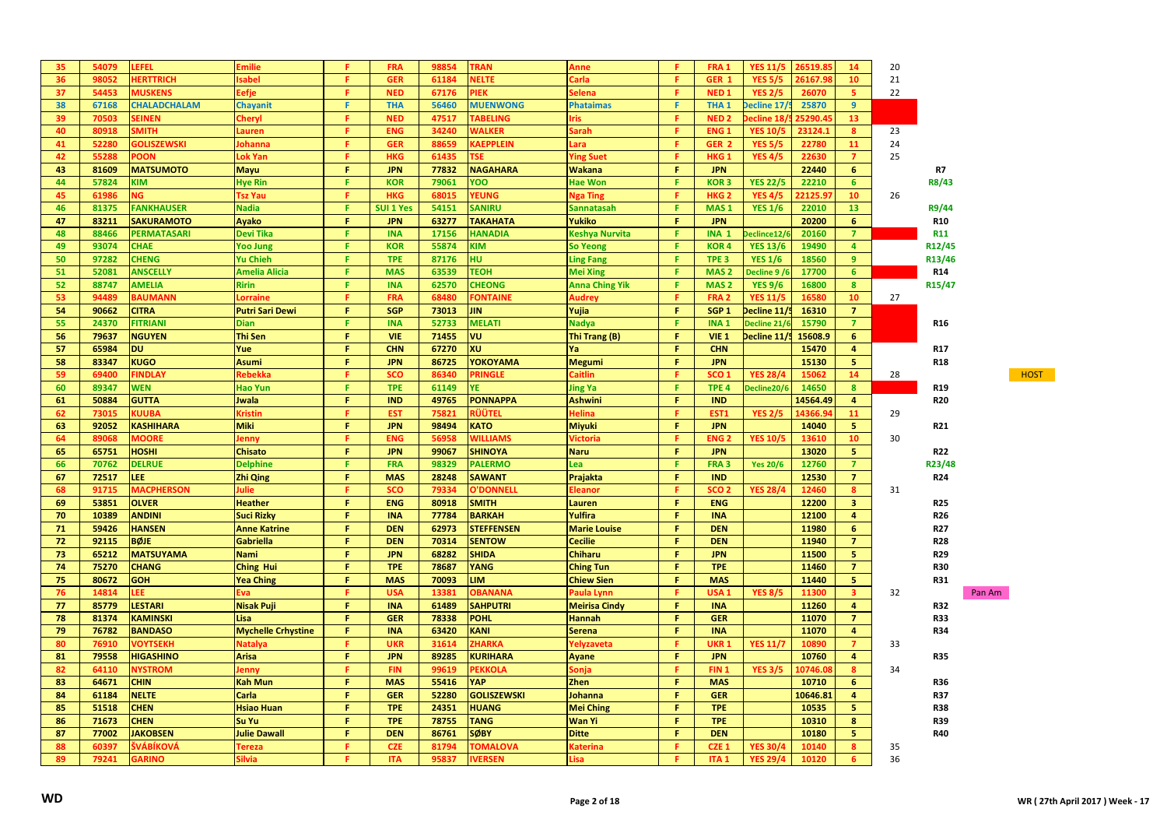| 35 | 54079 | LEFEL               | Emilie                    | я        | <b>FRA</b>       | 98854 | <b>TRAN</b>            | Anne                  | я      | FRA <sub>1</sub>       | <b>YES 11/5</b> | 26519.8  | 14                      | 20 |                 |        |
|----|-------|---------------------|---------------------------|----------|------------------|-------|------------------------|-----------------------|--------|------------------------|-----------------|----------|-------------------------|----|-----------------|--------|
| 36 | 98052 | <b>HERTTRICH</b>    | sabel                     | F.       | <b>GER</b>       | 61184 | <b>NELTE</b>           | Carla                 | F      | GER 1                  | <b>YES 5/5</b>  | 26167.9  | 10                      | 21 |                 |        |
| 37 | 54453 | <b>MUSKENS</b>      | Eefje                     | F.       | <b>NED</b>       | 67176 | <b>PIEK</b>            | ielena                | F.     | <b>NED1</b>            | <b>YES 2/5</b>  | 26070    | 5                       | 22 |                 |        |
| 38 | 67168 | <b>CHALADCHALAM</b> | <b>Chayanit</b>           | F.       | <b>THA</b>       | 56460 | <b>MUENWONG</b>        | <b>Phataimas</b>      | F      | THA <sub>1</sub>       | Decline 17/     | 25870    | 9                       |    |                 |        |
| 39 | 70503 | <b>SEINEN</b>       | Cheryl                    | F.       | <b>NED</b>       | 47517 | <b>TABELING</b>        | ris.                  | F      | NED <sub>2</sub>       | ecline 18       | 5290.4   | 13                      |    |                 |        |
| 40 | 80918 | <b>SMITH</b>        | Lauren                    | F.       | <b>ENG</b>       | 34240 | <b>WALKER</b>          | iarah                 | F.     | <b>ENG1</b>            | <b>YES 10/5</b> | 23124.1  | $\boldsymbol{8}$        | 23 |                 |        |
| 41 | 52280 | <b>GOLISZEWSKI</b>  | lohanna                   | F        | <b>GER</b>       | 88659 | KAEPPLEIN              | .ara                  | F      | GER <sub>2</sub>       | <b>YES 5/5</b>  | 22780    | 11                      | 24 |                 |        |
| 42 | 55288 | POON                | <b>Lok Yan</b>            | F.       | <b>HKG</b>       | 61435 | <b>TSE</b>             | <b>Ying Suet</b>      | F      | HKG <sub>1</sub>       | <b>YES 4/5</b>  | 22630    | $\overline{7}$          | 25 |                 |        |
| 43 | 81609 | <b>MATSUMOTO</b>    | <b>Mayu</b>               | F.       | <b>JPN</b>       | 77832 | <b>NAGAHARA</b>        | <b>Wakana</b>         | F.     | <b>JPN</b>             |                 | 22440    | $6\phantom{1}$          |    | R7              |        |
| 44 | 57824 | <b>KIM</b>          | <b>Hye Rin</b>            | F.       | <b>KOR</b>       | 79061 | YOO                    | <b>Hae Won</b>        | F.     | <b>KOR3</b>            | <b>YES 22/5</b> | 22210    | 6                       |    | R8/43           |        |
| 45 | 61986 | NG.                 | <b>Tsz Yau</b>            | F.       | <b>HKG</b>       | 68015 | YEUNG                  | <b>Nga Ting</b>       | Е      | HKG <sub>2</sub>       | <b>YES 4/5</b>  | 22125.9  | 10                      | 26 |                 |        |
| 46 | 81375 | <b>FANKHAUSER</b>   | <b>Nadia</b>              | F.       | <b>SUI 1 Yes</b> | 54151 | <b>SANIRU</b>          | Sannatasah            | F      | MAS <sub>1</sub>       | <b>YES 1/6</b>  | 22010    | 13                      |    | R9/44           |        |
| 47 | 83211 | <b>SAKURAMOTO</b>   | Ayako                     | F.       | <b>JPN</b>       | 63277 | <b><i>TAKAHATA</i></b> | <b>Yukiko</b>         | F.     | <b>JPN</b>             |                 | 20200    | $6\phantom{1}$          |    | <b>R10</b>      |        |
| 48 | 88466 | <b>PERMATASARI</b>  | <b>Devi Tika</b>          | F.       | <b>INA</b>       | 17156 | <b>HANADIA</b>         | <b>Keshya Nurvita</b> | F      | INA <sub>1</sub>       | eclince12/6     | 20160    | $\overline{7}$          |    | R11             |        |
| 49 | 93074 | <b>CHAE</b>         | <b>Yoo Jung</b>           | F.       | <b>KOR</b>       | 55874 | <b>KIM</b>             | <b>So Yeong</b>       | F      | <b>KOR4</b>            | <b>YES 13/6</b> | 19490    | $\overline{4}$          |    | R12/45          |        |
| 50 | 97282 | <b>CHENG</b>        | <b>Yu Chieh</b>           | F.       | <b>TPE</b>       | 87176 | <b>HU</b>              | <b>Ling Fang</b>      | F.     | TPE <sub>3</sub>       | <b>YES 1/6</b>  | 18560    | 9                       |    | R13/46          |        |
| 51 | 52081 | <b>ANSCELLY</b>     | <b>Amelia Alicia</b>      | F.       | <b>MAS</b>       | 63539 | <b>TEOH</b>            | <b>Mei Xing</b>       | F      | MAS <sub>2</sub>       | Decline 9/6     | 17700    | 6                       |    | R14             |        |
| 52 | 88747 | <b>AMELIA</b>       | <b>Ririn</b>              | F.       | <b>INA</b>       | 62570 | <b>CHEONG</b>          | <b>Anna Ching Yik</b> | F      | MAS <sub>2</sub>       | <b>YES 9/6</b>  | 16800    | $\mathbf{8}$            |    | R15/47          |        |
| 53 | 94489 | <b>BAUMANN</b>      | Lorraine                  | F.       | <b>FRA</b>       | 68480 | <b>FONTAINE</b>        | <b>Audrey</b>         | F      | FRA <sub>2</sub>       | <b>YES 11/5</b> | 16580    | 10                      | 27 |                 |        |
| 54 | 90662 | <b>CITRA</b>        | <b>Putri Sari Dewi</b>    | F.       | <b>SGP</b>       | 73013 | <b>JIN</b>             | Yujia                 | F.     | SGP <sub>1</sub>       | Decline 11/5    | 16310    | $\overline{7}$          |    |                 |        |
| 55 | 24370 | <b>FITRIANI</b>     | <b>Dian</b>               | F.       | <b>INA</b>       | 52733 | <b>MELATI</b>          | <b>Nadya</b>          | я      | INA <sub>1</sub>       | Decline 21/6    | 15790    | $\overline{7}$          |    | R16             |        |
| 56 | 79637 | <b>NGUYEN</b>       | <b>Thi Sen</b>            | F.       | <b>VIE</b>       | 71455 | VU                     | Thi Trang (B)         | F      | VIE <sub>1</sub>       | Decline 11/5    | 15608.9  | $6\phantom{1}$          |    |                 |        |
| 57 | 65984 | <b>DU</b>           | Yue                       | F.       | <b>CHN</b>       | 67270 | XU                     | Ya                    | F.     | <b>CHN</b>             |                 | 15470    | $\overline{4}$          |    | <b>R17</b>      |        |
| 58 | 83347 | <b>KUGO</b>         | <b>Asumi</b>              | F.       | <b>JPN</b>       | 86725 | YOKOYAMA               |                       | F.     | <b>JPN</b>             |                 | 15130    | 5                       |    | <b>R18</b>      |        |
|    | 69400 | <b>FINDLAY</b>      | Rebekka                   | F        | <b>SCO</b>       | 86340 | <b>PRINGLE</b>         | <b>Megumi</b>         |        | SCO <sub>1</sub>       | <b>YES 28/4</b> |          | 14                      |    |                 |        |
| 59 |       |                     |                           | F.       |                  |       |                        | Caitlin               | F.     |                        |                 | 15062    |                         | 28 |                 | HOST   |
| 60 | 89347 | <b>WEN</b>          | <b>Hao Yun</b>            | F        | <b>TPE</b>       | 61149 | <b>YE</b>              | <b>Jing Ya</b>        |        | TPE <sub>4</sub>       | Decline20/6     | 14650    | $\boldsymbol{8}$        |    | R <sub>19</sub> |        |
| 61 | 50884 | <b>GUTTA</b>        | Jwala<br>Kristin          | F        | <b>IND</b>       | 49765 | <b>PONNAPPA</b>        | <b>Ashwini</b>        | F<br>Е | <b>IND</b>             |                 | 14564.49 | 4                       |    | <b>R20</b>      |        |
| 62 | 73015 | KUUBA               |                           | F.       | <b>EST</b>       | 75821 | RÜÜTEL                 | <b>Helina</b>         | F      | EST1                   | <b>YES 2/5</b>  | 14366.9  | 11                      | 29 |                 |        |
| 63 | 92052 | <b>KASHIHARA</b>    | <b>Miki</b>               |          | <b>JPN</b>       | 98494 | <b>KATO</b>            | <b>Miyuki</b>         |        | <b>JPN</b>             |                 | 14040    | ${\bf 5}$               |    | <b>R21</b>      |        |
| 64 | 89068 | MOORE               | lenny                     | F.<br>F. | <b>ENG</b>       | 56958 | WILLIAMS               | Victoria              | F.     | <b>ENG<sub>2</sub></b> | <b>YES 10/5</b> | 13610    | 10                      | 30 |                 |        |
| 65 | 65751 | <b>HOSHI</b>        | <b>Chisato</b>            |          | <b>JPN</b>       | 99067 | <b>SHINOYA</b>         | <b>Naru</b>           | F.     | <b>JPN</b>             |                 | 13020    | $\overline{\mathbf{5}}$ |    | <b>R22</b>      |        |
| 66 | 70762 | <b>DELRUE</b>       | <b>Delphine</b>           | F.       | <b>FRA</b>       | 98329 | <b>PALERMO</b>         | Lea                   | F      | FRA <sub>3</sub>       | <b>Yes 20/6</b> | 12760    | $\overline{7}$          |    | R23/48          |        |
| 67 | 72517 | LEE.                | <b>Zhi Qing</b>           | F.       | <b>MAS</b>       | 28248 | <b>SAWANT</b>          | Prajakta              | F.     | <b>IND</b>             |                 | 12530    | $\overline{7}$          |    | R24             |        |
| 68 | 91715 | <b>MACPHERSON</b>   | lulie                     | F.       | <b>SCO</b>       | 79334 | <b>O'DONNELL</b>       | <b>Eleanor</b>        | F      | SCO <sub>2</sub>       | <b>YES 28/4</b> | 12460    | $\boldsymbol{8}$        | 31 |                 |        |
| 69 | 53851 | <b>OLVER</b>        | <b>Heather</b>            | F.       | <b>ENG</b>       | 80918 | <b>SMITH</b>           | Lauren                | F.     | <b>ENG</b>             |                 | 12200    | $\overline{\mathbf{3}}$ |    | <b>R25</b>      |        |
| 70 | 10389 | <b>ANDINI</b>       | <b>Suci Rizky</b>         | F.       | <b>INA</b>       | 77784 | <b>BARKAH</b>          | Yulfira               | F.     | <b>INA</b>             |                 | 12100    | $\overline{4}$          |    | R26             |        |
| 71 | 59426 | <b>HANSEN</b>       | <b>Anne Katrine</b>       | F.       | <b>DEN</b>       | 62973 | <b>STEFFENSEN</b>      | <b>Marie Louise</b>   | F.     | <b>DEN</b>             |                 | 11980    | 6                       |    | R <sub>27</sub> |        |
| 72 | 92115 | <b>BØJE</b>         | Gabriella                 | F.       | <b>DEN</b>       | 70314 | <b>SENTOW</b>          | <b>Cecilie</b>        | F.     | <b>DEN</b>             |                 | 11940    | $\overline{7}$          |    | <b>R28</b>      |        |
| 73 | 65212 | <b>MATSUYAMA</b>    | <b>Nami</b>               | F.       | <b>JPN</b>       | 68282 | <b>SHIDA</b>           | <b>Chiharu</b>        | F      | <b>JPN</b>             |                 | 11500    | 5                       |    | <b>R29</b>      |        |
| 74 | 75270 | <b>CHANG</b>        | <b>Ching Hui</b>          | F.       | <b>TPE</b>       | 78687 | YANG                   | <b>Ching Tun</b>      | F.     | <b>TPE</b>             |                 | 11460    | $\overline{7}$          |    | <b>R30</b>      |        |
| 75 | 80672 | <b>GOH</b>          | <b>Yea Ching</b>          | F        | <b>MAS</b>       | 70093 | <b>LIM</b>             | <b>Chiew Sien</b>     | F      | <b>MAS</b>             |                 | 11440    | $\overline{\mathbf{5}}$ |    | <b>R31</b>      |        |
| 76 | 14814 | LEE.                | Eva                       | я        | <b>USA</b>       | 13381 | <b>OBANANA</b>         | Paula Lynn            | F      | USA <sub>1</sub>       | <b>YES 8/5</b>  | 11300    | $\overline{\mathbf{3}}$ | 32 |                 | Pan Am |
| 77 | 85779 | <b>LESTARI</b>      | <b>Nisak Puji</b>         | F.       | <b>INA</b>       | 61489 | <b>SAHPUTRI</b>        | <b>Meirisa Cindy</b>  | F.     | <b>INA</b>             |                 | 11260    | 4                       |    | <b>R32</b>      |        |
| 78 | 81374 | <b>KAMINSKI</b>     | Lisa                      | F        | <b>GER</b>       | 78338 | <b>POHL</b>            | <b>Hannah</b>         | F      | <b>GER</b>             |                 | 11070    | $\overline{7}$          |    | <b>R33</b>      |        |
| 79 | 76782 | <b>BANDASO</b>      | <b>Mychelle Crhystine</b> | F.       | <b>INA</b>       | 63420 | KANI                   | <b>Serena</b>         | F.     | <b>INA</b>             |                 | 11070    | $\overline{4}$          |    | <b>R34</b>      |        |
| 80 | 76910 | <b>VOYTSEKH</b>     | <b>Natalya</b>            | F.       | <b>UKR</b>       | 31614 | ZHARKA                 | Yelyzaveta            | F      | UKR <sub>1</sub>       | <b>YES 11/7</b> | 10890    | $\overline{7}$          | 33 |                 |        |
| 81 | 79558 | <b>HIGASHINO</b>    | <b>Arisa</b>              | F.       | <b>JPN</b>       | 89285 | <b>KURIHARA</b>        | <b>Ayane</b>          | F.     | <b>JPN</b>             |                 | 10760    | $\overline{4}$          |    | <b>R35</b>      |        |
| 82 | 64110 | <b>NYSTROM</b>      | lenny                     | F        | <b>FIN</b>       | 99619 | <b>PEKKOLA</b>         | ionja                 | F      | FIN <sub>1</sub>       | <b>YES 3/5</b>  | 10746.0  | 8                       | 34 |                 |        |
| 83 | 64671 | <b>CHIN</b>         | <b>Kah Mun</b>            | F.       | <b>MAS</b>       | 55416 | YAP                    | <b>Zhen</b>           | F      | <b>MAS</b>             |                 | 10710    | 6                       |    | R36             |        |
| 84 | 61184 | <b>NELTE</b>        | Carla                     | F.       | <b>GER</b>       | 52280 | <b>GOLISZEWSKI</b>     | Johanna               | F.     | <b>GER</b>             |                 | 10646.8  | $\overline{4}$          |    | R37             |        |
| 85 | 51518 | <b>CHEN</b>         | <b>Hsiao Huan</b>         | F.       | <b>TPE</b>       | 24351 | <b>HUANG</b>           | <b>Mei Ching</b>      | F      | <b>TPE</b>             |                 | 10535    | 5                       |    | <b>R38</b>      |        |
| 86 | 71673 | <b>CHEN</b>         | Su Yu                     | F.       | <b>TPE</b>       | 78755 | <b>TANG</b>            | <b>Wan Yi</b>         | F.     | <b>TPE</b>             |                 | 10310    | 8                       |    | <b>R39</b>      |        |
| 87 | 77002 | <b>JAKOBSEN</b>     | <b>Julie Dawall</b>       | F.       | <b>DEN</b>       | 86761 | <b>SØBY</b>            | <b>Ditte</b>          | F.     | <b>DEN</b>             |                 | 10180    | 5                       |    | <b>R40</b>      |        |
| 88 | 60397 | ŠVÁBÍKOVÁ           | Tereza                    | F.       | <b>CZE</b>       | 81794 | <b>TOMALOVA</b>        | <b>aterina</b>        | F.     | CZE <sub>1</sub>       | <b>YES 30/4</b> | 10140    | 8                       | 35 |                 |        |
| 89 | 79241 | <b>GARINO</b>       | Silvia                    | я        | <b>ITA</b>       | 95837 | <b>VERSEN</b>          | Lisa                  | F.     | ITA <sub>1</sub>       | <b>YES 29/4</b> | 10120    | 6                       | 36 |                 |        |
|    |       |                     |                           |          |                  |       |                        |                       |        |                        |                 |          |                         |    |                 |        |